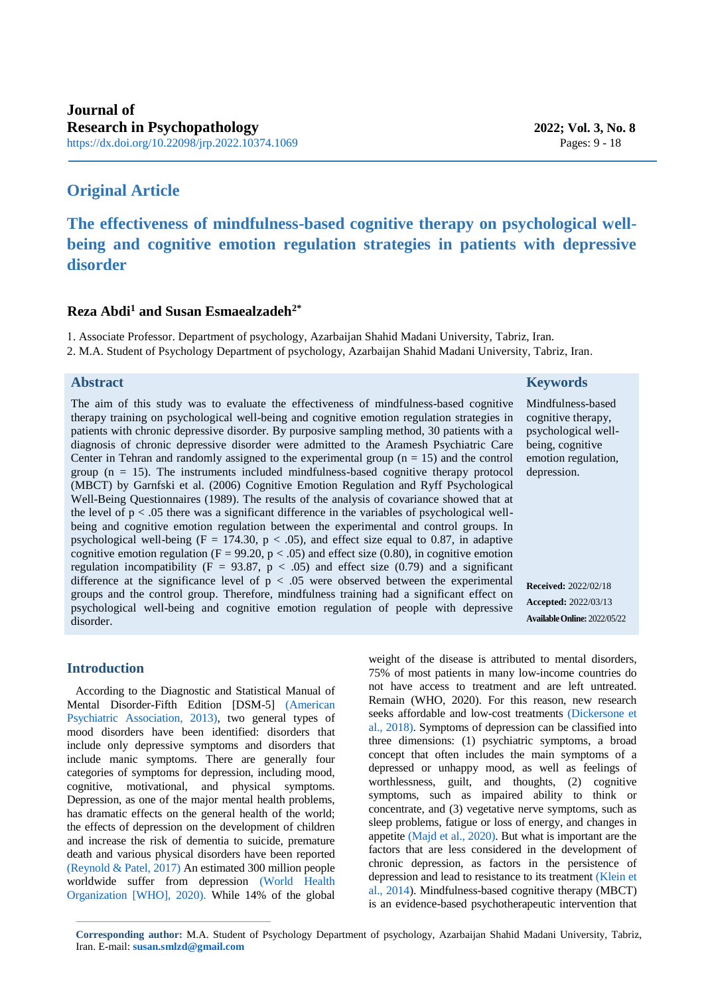# **Original Article**

# **The effectiveness of mindfulness-based cognitive therapy on psychological wellbeing and cognitive emotion regulation strategies in patients with depressive disorder**

## **Reza Abdi<sup>1</sup> and Susan Esmaealzadeh<sup>2\*</sup>**

1. Associate Professor. Department of psychology, Azarbaijan Shahid Madani University, Tabriz, Iran.

2. M.A. Student of Psychology Department of psychology, Azarbaijan Shahid Madani University, Tabriz, Iran.

# **Abstract**

The aim of this study was to evaluate the effectiveness of mindfulness-based cognitive therapy training on psychological well-being and cognitive emotion regulation strategies in patients with chronic depressive disorder. By purposive sampling method, 30 patients with a diagnosis of chronic depressive disorder were admitted to the Aramesh Psychiatric Care Center in Tehran and randomly assigned to the experimental group  $(n = 15)$  and the control group  $(n = 15)$ . The instruments included mindfulness-based cognitive therapy protocol (MBCT) by Garnfski et al. (2006) Cognitive Emotion Regulation and Ryff Psychological Well-Being Questionnaires (1989). The results of the analysis of covariance showed that at the level of  $p < 0.05$  there was a significant difference in the variables of psychological wellbeing and cognitive emotion regulation between the experimental and control groups. In psychological well-being (F = 174.30, p  $\lt$  .05), and effect size equal to 0.87, in adaptive cognitive emotion regulation (F = 99.20,  $p < .05$ ) and effect size (0.80), in cognitive emotion regulation incompatibility ( $F = 93.87$ ,  $p < .05$ ) and effect size (0.79) and a significant difference at the significance level of  $p < .05$  were observed between the experimental groups and the control group. Therefore, mindfulness training had a significant effect on psychological well-being and cognitive emotion regulation of people with depressive disorder.

# **Keywords**

Mindfulness-based cognitive therapy, psychological wellbeing, cognitive emotion regulation, depression.

<span id="page-0-1"></span>**Received:** 2022/02/18 **Accepted:** 2022/03/13 **AvailableOnline:** 2022/05/22

# **Introduction**

According to the Diagnostic and Statistical Manual of Mental Disorder-Fifth Edition [DSM-5] (American Psychiatric Association, 2013), two general types of mood disorders have been identified: disorders that include only depressive symptoms and disorders that include manic symptoms. There are generally four categories of symptoms for depression, including mood, cognitive, motivational, and physical symptoms. Depression, as one of the major mental health problems, has dramatic effects on the general health of the world; the effects of depression on the development of children and increase the risk of dementia to suicide, premature death and various physical disorders have been reported [\(Reynold & Patel, 2017\)](#page-8-0) An estimated 300 million people worldwide suffer from depression [\(World Health](#page-9-0)  [Organization \[WHO\], 2020\).](#page-9-0) While 14% of the global <span id="page-0-2"></span><span id="page-0-0"></span>weight of the disease is attributed to mental disorders, 75% of most patients in many low-income countries do not have access to treatment and are left untreated. Remain (WHO, 2020). For this reason, new research seeks affordable and low-cost treatments [\(Dickersone et](#page-7-0)  [al., 2018\).](#page-7-0) Symptoms of depression can be classified into three dimensions: (1) psychiatric symptoms, a broad concept that often includes the main symptoms of a depressed or unhappy mood, as well as feelings of worthlessness, guilt, and thoughts, (2) cognitive symptoms, such as impaired ability to think or concentrate, and (3) vegetative nerve symptoms, such as sleep problems, fatigue or loss of energy, and changes in appetite [\(Majd et al., 2020\).](#page-8-1) But what is important are the factors that are less considered in the development of chronic depression, as factors in the persistence of depression and lead to resistance to its treatment [\(Klein et](#page-7-1)  [al., 2014\)](#page-7-1). Mindfulness-based cognitive therapy (MBCT) is an evidence-based psychotherapeutic intervention that

<span id="page-0-4"></span><span id="page-0-3"></span>**Corresponding author:** M.A. Student of Psychology Department of psychology, Azarbaijan Shahid Madani University, Tabriz, Iran. E-mail[:](mailto:susan.smlzd@gmail.com) **[susan.smlzd@gmail.com](mailto:susan.smlzd@gmail.com)**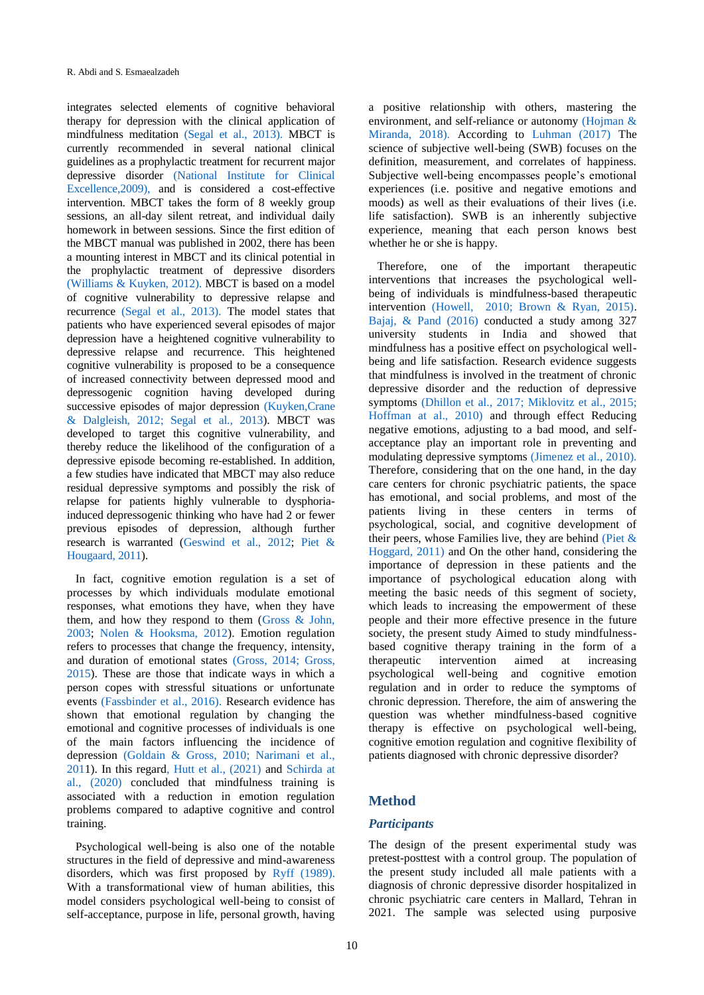<span id="page-1-16"></span>integrates selected elements of cognitive behavioral therapy for depression with the clinical application of mindfulness meditation [\(Segal et al., 2013\).](#page-8-2) MBCT is currently recommended in several national clinical guidelines as a prophylactic treatment for recurrent major depressive disorder [\(National Institute for Clinical](#page-8-3)  [Excellence,2009\),](#page-8-3) and is considered a cost-effective intervention. MBCT takes the form of 8 weekly group sessions, an all-day silent retreat, and individual daily homework in between sessions. Since the first edition of the MBCT manual was published in 2002, there has been a mounting interest in MBCT and its clinical potential in the prophylactic treatment of depressive disorders [\(Williams & Kuyken, 2012\).](#page-9-1) MBCT is based on a model of cognitive vulnerability to depressive relapse and recurrence [\(Segal et al., 2013\).](#page-8-2) The model states that patients who have experienced several episodes of major depression have a heightened cognitive vulnerability to depressive relapse and recurrence. This heightened cognitive vulnerability is proposed to be a consequence of increased connectivity between depressed mood and depressogenic cognition having developed during successive episodes of major depression [\(Kuyken,Crane](#page-7-2)  [& Dalgleish, 2012](#page-7-2)[; Segal et al., 2013\)](#page-8-2). MBCT was developed to target this cognitive vulnerability, and thereby reduce the likelihood of the configuration of a depressive episode becoming re-established. In addition, a few studies have indicated that MBCT may also reduce residual depressive symptoms and possibly the risk of relapse for patients highly vulnerable to dysphoriainduced depressogenic thinking who have had 2 or fewer previous episodes of depression, although further research is warranted [\(Geswind et al., 2012;](#page-7-3) [Piet &](#page-8-4)  [Hougaard, 2011\)](#page-8-4).

<span id="page-1-13"></span><span id="page-1-12"></span><span id="page-1-3"></span><span id="page-1-2"></span>In fact, cognitive emotion regulation is a set of processes by which individuals modulate emotional responses, what emotions they have, when they have them, and how they respond to them [\(Gross & John,](#page-7-4)  [2003;](#page-7-4) [Nolen & Hooksma, 2012\)](#page-8-5). Emotion regulation refers to processes that change the frequency, intensity, and duration of emotional states [\(Gross, 2014;](#page-7-5) [Gross,](#page-7-6)  [2015\)](#page-7-6). These are those that indicate ways in which a person copes with stressful situations or unfortunate events [\(Fassbinder et al., 2016\).](#page-7-7) Research evidence has shown that emotional regulation by changing the emotional and cognitive processes of individuals is one of the main factors influencing the incidence of depression [\(Goldain & Gross, 2010; Narimani et al.,](#page-7-8)  [2011](#page-8-6)). In this regar[d, Hutt et al., \(2021\)](#page-7-9) and [Schirda at](#page-8-7)  [al., \(2020\)](#page-8-7) concluded that mindfulness training is associated with a reduction in emotion regulation problems compared to adaptive cognitive and control training.

<span id="page-1-7"></span><span id="page-1-1"></span>Psychological well-being is also one of the notable structures in the field of depressive and mind-awareness disorders, which was first proposed by [Ryff \(1989\).](#page-8-8) With a transformational view of human abilities, this model considers psychological well-being to consist of self-acceptance, purpose in life, personal growth, having <span id="page-1-9"></span><span id="page-1-5"></span>a positive relationship with others, mastering the environment, and self-reliance or autonomy [\(Hojman &](#page-7-10)  [Miranda, 2018\).](#page-7-10) According to [Luhman \(2017\)](#page-8-9) The science of subjective well-being (SWB) focuses on the definition, measurement, and correlates of happiness. Subjective well-being encompasses people's emotional experiences (i.e. positive and negative emotions and moods) as well as their evaluations of their lives (i.e. life satisfaction). SWB is an inherently subjective experience, meaning that each person knows best whether he or she is happy.

<span id="page-1-10"></span><span id="page-1-8"></span><span id="page-1-6"></span><span id="page-1-4"></span><span id="page-1-0"></span>Therefore, one of the important therapeutic interventions that increases the psychological wellbeing of individuals is mindfulness-based therapeutic intervention [\(Howell, 2010; Brown & Ryan, 2015\).](#page-7-11) [Bajaj, & Pand \(2016\)](#page-6-0) conducted a study among 327 university students in India and showed that mindfulness has a positive effect on psychological wellbeing and life satisfaction. Research evidence suggests that mindfulness is involved in the treatment of chronic depressive disorder and the reduction of depressive symptoms [\(Dhillon et al., 2017; Miklovitz et al., 2015;](#page-7-12) [Hoffman at al., 2010\)](#page-7-13) and through effect Reducing negative emotions, adjusting to a bad mood, and selfacceptance play an important role in preventing and modulating depressive symptoms [\(Jimenez et al., 2010\).](#page-7-14) Therefore, considering that on the one hand, in the day care centers for chronic psychiatric patients, the space has emotional, and social problems, and most of the patients living in these centers in terms of psychological, social, and cognitive development of their peers, whose Families live, they are behind (Piet  $\&$ [Hoggard, 2011\)](#page-8-4) and On the other hand, considering the importance of depression in these patients and the importance of psychological education along with meeting the basic needs of this segment of society, which leads to increasing the empowerment of these people and their more effective presence in the future society, the present study Aimed to study mindfulnessbased cognitive therapy training in the form of a therapeutic intervention aimed at increasing psychological well-being and cognitive emotion regulation and in order to reduce the symptoms of chronic depression. Therefore, the aim of answering the question was whether mindfulness-based cognitive therapy is effective on psychological well-being, cognitive emotion regulation and cognitive flexibility of patients diagnosed with chronic depressive disorder?

## <span id="page-1-15"></span><span id="page-1-11"></span>**Method**

#### *Participants*

<span id="page-1-14"></span>The design of the present experimental study was pretest-posttest with a control group. The population of the present study included all male patients with a diagnosis of chronic depressive disorder hospitalized in chronic psychiatric care centers in Mallard, Tehran in 2021. The sample was selected using purposive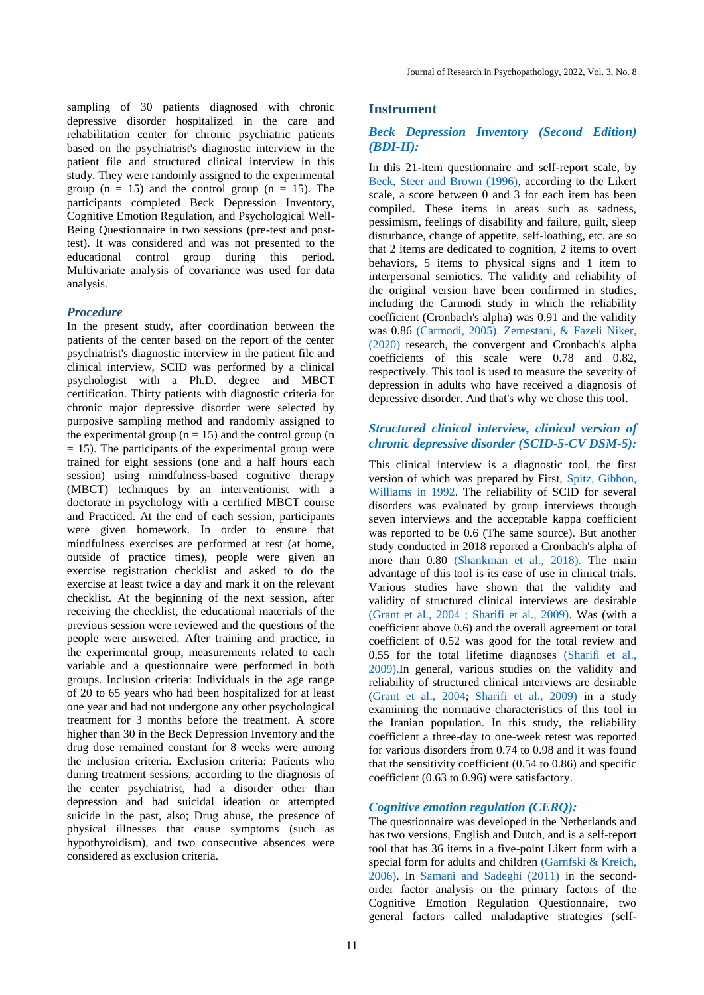sampling of 30 patients diagnosed with chronic depressive disorder hospitalized in the care and rehabilitation center for chronic psychiatric patients based on the psychiatrist's diagnostic interview in the patient file and structured clinical interview in this study. They were randomly assigned to the experimental group  $(n = 15)$  and the control group  $(n = 15)$ . The participants completed Beck Depression Inventory, Cognitive Emotion Regulation, and Psychological Well-Being Questionnaire in two sessions (pre-test and posttest). It was considered and was not presented to the educational control group during this period. Multivariate analysis of covariance was used for data analysis.

#### *Procedure*

In the present study, after coordination between the patients of the center based on the report of the center psychiatrist's diagnostic interview in the patient file and clinical interview, SCID was performed by a clinical psychologist with a Ph.D. degree and MBCT certification. Thirty patients with diagnostic criteria for chronic major depressive disorder were selected by purposive sampling method and randomly assigned to the experimental group  $(n = 15)$  and the control group  $(n = 15)$  $= 15$ ). The participants of the experimental group were trained for eight sessions (one and a half hours each session) using mindfulness-based cognitive therapy (MBCT) techniques by an interventionist with a doctorate in psychology with a certified MBCT course and Practiced. At the end of each session, participants were given homework. In order to ensure that mindfulness exercises are performed at rest (at home, outside of practice times), people were given an exercise registration checklist and asked to do the exercise at least twice a day and mark it on the relevant checklist. At the beginning of the next session, after receiving the checklist, the educational materials of the previous session were reviewed and the questions of the people were answered. After training and practice, in the experimental group, measurements related to each variable and a questionnaire were performed in both groups. Inclusion criteria: Individuals in the age range of 20 to 65 years who had been hospitalized for at least one year and had not undergone any other psychological treatment for 3 months before the treatment. A score higher than 30 in the Beck Depression Inventory and the drug dose remained constant for 8 weeks were among the inclusion criteria. Exclusion criteria: Patients who during treatment sessions, according to the diagnosis of the center psychiatrist, had a disorder other than depression and had suicidal ideation or attempted suicide in the past, also; Drug abuse, the presence of physical illnesses that cause symptoms (such as hypothyroidism), and two consecutive absences were considered as exclusion criteria.

#### **Instrument**

#### *Beck Depression Inventory (Second Edition) (BDI-II):*

<span id="page-2-0"></span>In this 21-item questionnaire and self-report scale, by [Beck, Steer and Brown \(1996\),](#page-6-1) according to the Likert scale, a score between 0 and 3 for each item has been compiled. These items in areas such as sadness, pessimism, feelings of disability and failure, guilt, sleep disturbance, change of appetite, self-loathing, etc. are so that 2 items are dedicated to cognition, 2 items to overt behaviors, 5 items to physical signs and 1 item to interpersonal semiotics. The validity and reliability of the original version have been confirmed in studies, including the Carmodi study in which the reliability coefficient (Cronbach's alpha) was 0.91 and the validity was 0.86 [\(Carmodi, 2005\).](#page-6-2) [Zemestani, & Fazeli Niker,](#page-9-2)  [\(2020\)](#page-9-2) research, the convergent and Cronbach's alpha coefficients of this scale were 0.78 and 0.82, respectively. This tool is used to measure the severity of depression in adults who have received a diagnosis of depressive disorder. And that's why we chose this tool.

#### <span id="page-2-7"></span>*Structured clinical interview, clinical version of chronic depressive disorder (SCID-5-CV DSM-5):*

<span id="page-2-6"></span><span id="page-2-5"></span><span id="page-2-4"></span><span id="page-2-1"></span>This clinical interview is a diagnostic tool, the first version of which was prepared by First, [Spitz, Gibbon,](#page-9-3)  [Williams in 1992.](#page-9-3) The reliability of SCID for several disorders was evaluated by group interviews through seven interviews and the acceptable kappa coefficient was reported to be 0.6 (The same source). But another study conducted in 2018 reported a Cronbach's alpha of more than 0.80 [\(Shankman et al., 2018\).](#page-8-10) The main advantage of this tool is its ease of use in clinical trials. Various studies have shown that the validity and validity of structured clinical interviews are desirabl[e](#page-7-15) [\(Grant et al., 2004](#page-7-15) [; Sharifi et al., 2009\).](#page-8-11) Was (with a coefficient above 0.6) and the overall agreement or total coefficient of 0.52 was good for the total review and 0.55 for the total lifetime diagnoses [\(Sharifi et al.,](#page-8-11)  [2009\).I](#page-8-11)n general, various studies on the validity and reliability of structured clinical interviews are desirable [\(Grant et al., 2004;](#page-7-15) [Sharifi et al., 2009\)](#page-8-11) in a study examining the normative characteristics of this tool in the Iranian population. In this study, the reliability coefficient a three-day to one-week retest was reported for various disorders from 0.74 to 0.98 and it was found that the sensitivity coefficient (0.54 to 0.86) and specific coefficient (0.63 to 0.96) were satisfactory.

#### *Cognitive emotion regulation (CERQ):*

<span id="page-2-3"></span><span id="page-2-2"></span>The questionnaire was developed in the Netherlands and has two versions, English and Dutch, and is a self-report tool that has 36 items in a five-point Likert form with a special form for adults and children [\(Garnfski & Kreich,](#page-8-12)  [2006\).](#page-8-12) In [Samani and Sadeghi \(2011\)](#page-8-13) in the secondorder factor analysis on the primary factors of the Cognitive Emotion Regulation Questionnaire, two general factors called maladaptive strategies (self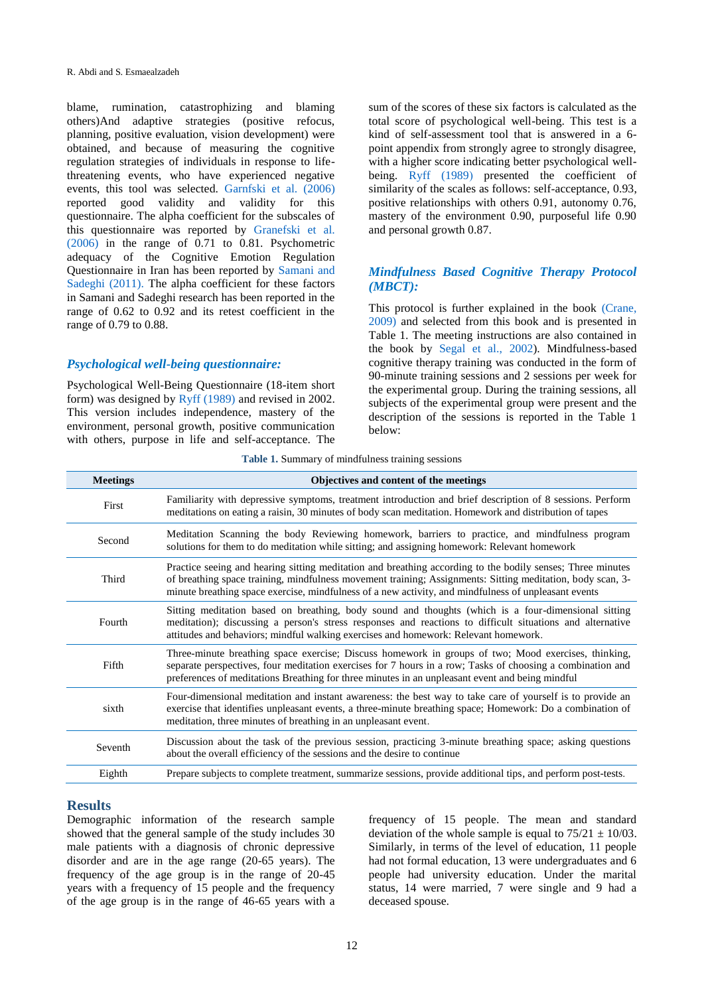blame, rumination, catastrophizing and blaming others)And adaptive strategies (positive refocus, planning, positive evaluation, vision development) were obtained, and because of measuring the cognitive regulation strategies of individuals in response to lifethreatening events, who have experienced negative events, this tool was selected. [Garnfski et al. \(2006\)](#page-8-12) reported good validity and validity for this questionnaire. The alpha coefficient for the subscales of this questionnaire was reported by [Granefski et al.](#page-8-12)  [\(2006\)](#page-8-12) in the range of 0.71 to 0.81. Psychometric adequacy of the Cognitive Emotion Regulation Questionnaire in Iran has been reported by [Samani and](#page-8-13)  [Sadeghi \(2011\).](#page-8-13) The alpha coefficient for these factors in Samani and Sadeghi research has been reported in the range of 0.62 to 0.92 and its retest coefficient in the range of 0.79 to 0.88.

#### *Psychological well-being questionnaire:*

Psychological Well-Being Questionnaire (18-item short form) was designed by [Ryff \(1989\)](#page-8-8) and revised in 2002. This version includes independence, mastery of the environment, personal growth, positive communication with others, purpose in life and self-acceptance. The sum of the scores of these six factors is calculated as the total score of psychological well-being. This test is a kind of self-assessment tool that is answered in a 6 point appendix from strongly agree to strongly disagree, with a higher score indicating better psychological wellbeing. Ryff (1989) presented the coefficient of similarity of the scales as follows: self-acceptance, 0.93, positive relationships with others 0.91, autonomy 0.76, mastery of the environment 0.90, purposeful life 0.90 and personal growth 0.87.

## *Mindfulness Based Cognitive Therapy Protocol (MBCT):*

<span id="page-3-0"></span>This protocol is further explained in the book [\(Crane,](#page-6-3)  [2009\)](#page-6-3) and selected from this book and is presented in Table 1. The meeting instructions are also contained in the book by [Segal et al., 2002\)](#page-8-14). Mindfulness-based cognitive therapy training was conducted in the form of 90-minute training sessions and 2 sessions per week for the experimental group. During the training sessions, all subjects of the experimental group were present and the description of the sessions is reported in the Table 1 below:

|  |  | Table 1. Summary of mindfulness training sessions |  |
|--|--|---------------------------------------------------|--|
|  |  |                                                   |  |

| <b>Meetings</b> | Objectives and content of the meetings                                                                                                                                                                                                                                                                                           |
|-----------------|----------------------------------------------------------------------------------------------------------------------------------------------------------------------------------------------------------------------------------------------------------------------------------------------------------------------------------|
| First           | Familiarity with depressive symptoms, treatment introduction and brief description of 8 sessions. Perform<br>meditations on eating a raisin, 30 minutes of body scan meditation. Homework and distribution of tapes                                                                                                              |
| Second          | Meditation Scanning the body Reviewing homework, barriers to practice, and mindfulness program<br>solutions for them to do meditation while sitting; and assigning homework: Relevant homework                                                                                                                                   |
| Third           | Practice seeing and hearing sitting meditation and breathing according to the bodily senses; Three minutes<br>of breathing space training, mindfulness movement training; Assignments: Sitting meditation, body scan, 3-<br>minute breathing space exercise, mindfulness of a new activity, and mindfulness of unpleasant events |
| Fourth          | Sitting meditation based on breathing, body sound and thoughts (which is a four-dimensional sitting<br>meditation); discussing a person's stress responses and reactions to difficult situations and alternative<br>attitudes and behaviors; mindful walking exercises and homework: Relevant homework.                          |
| Fifth           | Three-minute breathing space exercise; Discuss homework in groups of two; Mood exercises, thinking,<br>separate perspectives, four meditation exercises for 7 hours in a row; Tasks of choosing a combination and<br>preferences of meditations Breathing for three minutes in an unpleasant event and being mindful             |
| sixth           | Four-dimensional meditation and instant awareness: the best way to take care of yourself is to provide an<br>exercise that identifies unpleasant events, a three-minute breathing space; Homework: Do a combination of<br>meditation, three minutes of breathing in an unpleasant event.                                         |
| Seventh         | Discussion about the task of the previous session, practicing 3-minute breathing space; asking questions<br>about the overall efficiency of the sessions and the desire to continue                                                                                                                                              |
| Eighth          | Prepare subjects to complete treatment, summarize sessions, provide additional tips, and perform post-tests.                                                                                                                                                                                                                     |

#### **Results**

Demographic information of the research sample showed that the general sample of the study includes 30 male patients with a diagnosis of chronic depressive disorder and are in the age range (20-65 years). The frequency of the age group is in the range of 20-45 years with a frequency of 15 people and the frequency of the age group is in the range of 46-65 years with a frequency of 15 people. The mean and standard deviation of the whole sample is equal to  $75/21 \pm 10/03$ . Similarly, in terms of the level of education, 11 people had not formal education, 13 were undergraduates and 6 people had university education. Under the marital status, 14 were married, 7 were single and 9 had a deceased spouse.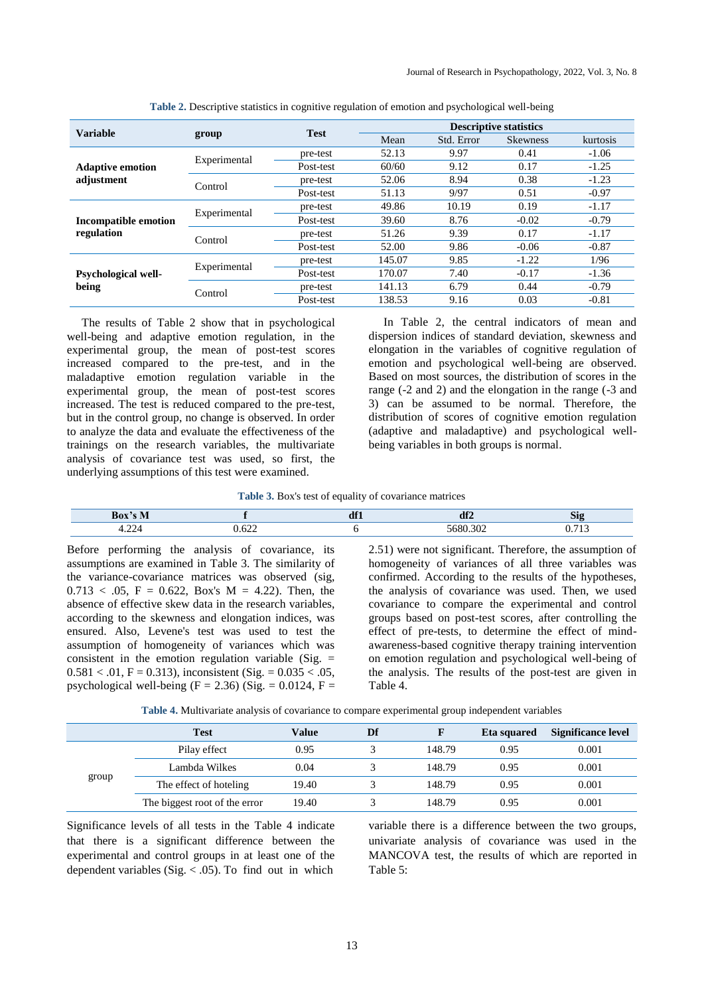| <b>Variable</b>             |              | <b>Test</b> |        | <b>Descriptive statistics</b> |                 |          |  |
|-----------------------------|--------------|-------------|--------|-------------------------------|-----------------|----------|--|
|                             | group        |             | Mean   | Std. Error                    | <b>Skewness</b> | kurtosis |  |
|                             | Experimental | pre-test    | 52.13  | 9.97                          | 0.41            | $-1.06$  |  |
| <b>Adaptive emotion</b>     |              | Post-test   | 60/60  | 9.12                          | 0.17            | $-1.25$  |  |
| adjustment                  | Control      | pre-test    | 52.06  | 8.94                          | 0.38            | $-1.23$  |  |
|                             |              | Post-test   | 51.13  | 9/97                          | 0.51            | $-0.97$  |  |
|                             |              | pre-test    | 49.86  | 10.19                         | 0.19            | $-1.17$  |  |
| <b>Incompatible emotion</b> | Experimental | Post-test   | 39.60  | 8.76                          | $-0.02$         | $-0.79$  |  |
| regulation                  | Control      | pre-test    | 51.26  | 9.39                          | 0.17            | $-1.17$  |  |
|                             |              | Post-test   | 52.00  | 9.86                          | $-0.06$         | $-0.87$  |  |
|                             | Experimental | pre-test    | 145.07 | 9.85                          | $-1.22$         | 1/96     |  |
| <b>Psychological well-</b>  |              | Post-test   | 170.07 | 7.40                          | $-0.17$         | $-1.36$  |  |
| being                       | Control      | pre-test    | 141.13 | 6.79                          | 0.44            | $-0.79$  |  |
|                             |              | Post-test   | 138.53 | 9.16                          | 0.03            | $-0.81$  |  |

**Table 2.** Descriptive statistics in cognitive regulation of emotion and psychological well-being

 The results of Table 2 show that in psychological well-being and adaptive emotion regulation, in the experimental group, the mean of post-test scores increased compared to the pre-test, and in the maladaptive emotion regulation variable in the experimental group, the mean of post-test scores increased. The test is reduced compared to the pre-test, but in the control group, no change is observed. In order to analyze the data and evaluate the effectiveness of the trainings on the research variables, the multivariate analysis of covariance test was used, so first, the underlying assumptions of this test were examined.

 In Table 2, the central indicators of mean and dispersion indices of standard deviation, skewness and elongation in the variables of cognitive regulation of emotion and psychological well-being are observed. Based on most sources, the distribution of scores in the range (-2 and 2) and the elongation in the range (-3 and 3) can be assumed to be normal. Therefore, the distribution of scores of cognitive emotion regulation (adaptive and maladaptive) and psychological wellbeing variables in both groups is normal.

|  |  |  | Table 3. Box's test of equality of covariance matrices |
|--|--|--|--------------------------------------------------------|
|  |  |  |                                                        |

|                                                 | $\mathbf{r}$ | $\bullet$ |   |
|-------------------------------------------------|--------------|-----------|---|
| the contract of the contract of the contract of |              | .         | . |

Before performing the analysis of covariance, its assumptions are examined in Table 3. The similarity of the variance-covariance matrices was observed (sig,  $0.713 < .05$ , F = 0.622, Box's M = 4.22). Then, the absence of effective skew data in the research variables, according to the skewness and elongation indices, was ensured. Also, Levene's test was used to test the assumption of homogeneity of variances which was consistent in the emotion regulation variable (Sig.  $=$  $0.581 < .01$ , F = 0.313), inconsistent (Sig. = 0.035 < .05, psychological well-being  $(F = 2.36)$  (Sig. = 0.0124, F = 2.51) were not significant. Therefore, the assumption of homogeneity of variances of all three variables was confirmed. According to the results of the hypotheses, the analysis of covariance was used. Then, we used covariance to compare the experimental and control groups based on post-test scores, after controlling the effect of pre-tests, to determine the effect of mindawareness-based cognitive therapy training intervention on emotion regulation and psychological well-being of the analysis. The results of the post-test are given in Table 4.

| Table 4. Multivariate analysis of covariance to compare experimental group independent variables |  |  |  |
|--------------------------------------------------------------------------------------------------|--|--|--|
|--------------------------------------------------------------------------------------------------|--|--|--|

|       | Test                          | Value | Df |        | Eta squared | Significance level |
|-------|-------------------------------|-------|----|--------|-------------|--------------------|
|       | Pilay effect                  | 0.95  |    | 148.79 | 0.95        | 0.001              |
| group | Lambda Wilkes                 | 0.04  |    | 148.79 | 0.95        | 0.001              |
|       | The effect of hoteling        | 19.40 |    | 148.79 | 0.95        | 0.001              |
|       | The biggest root of the error | 19.40 |    | 148.79 | 0.95        | 0.001              |

Significance levels of all tests in the Table 4 indicate that there is a significant difference between the experimental and control groups in at least one of the dependent variables (Sig.  $< .05$ ). To find out in which

variable there is a difference between the two groups, univariate analysis of covariance was used in the MANCOVA test, the results of which are reported in Table 5: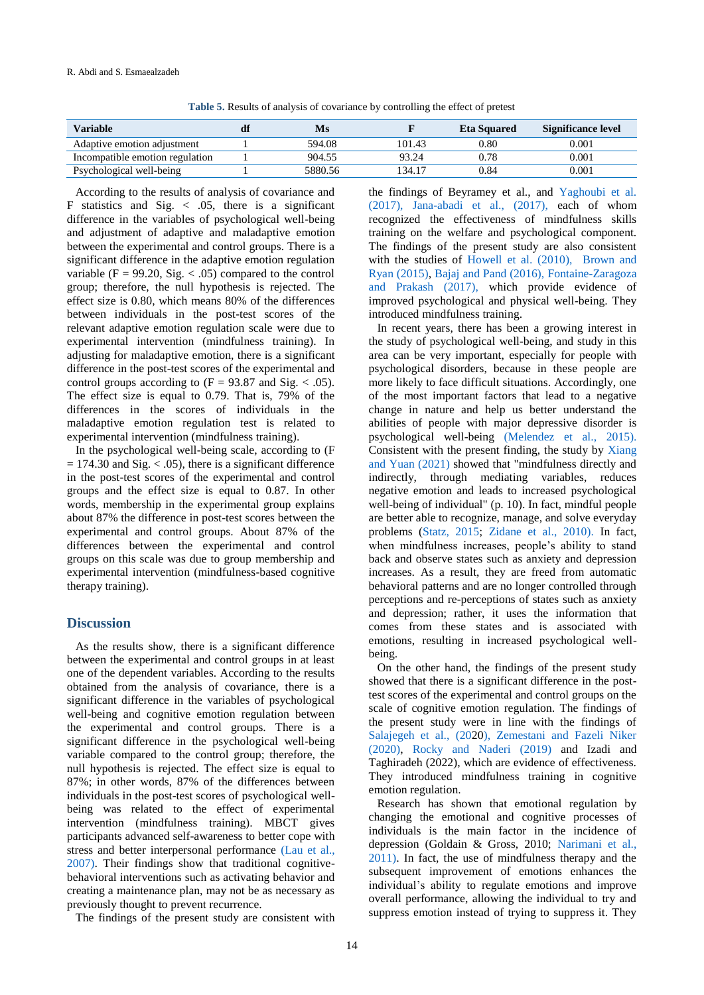|  |  |  |  | Table 5. Results of analysis of covariance by controlling the effect of pretest |  |
|--|--|--|--|---------------------------------------------------------------------------------|--|
|--|--|--|--|---------------------------------------------------------------------------------|--|

| Variable                        | Ms      |        | <b>Eta Squared</b> | Significance level |
|---------------------------------|---------|--------|--------------------|--------------------|
| Adaptive emotion adjustment     | 594.08  | 101.43 | 0.80               | $0.001\,$          |
| Incompatible emotion regulation | 904.55  | 93.24  | 0.78               | 0.001              |
| Psychological well-being        | 5880.56 | 134.17 | 0.84               | $0.001\,$          |

According to the results of analysis of covariance and F statistics and Sig.  $\lt$  .05, there is a significant difference in the variables of psychological well-being and adjustment of adaptive and maladaptive emotion between the experimental and control groups. There is a significant difference in the adaptive emotion regulation variable ( $F = 99.20$ , Sig. < .05) compared to the control group; therefore, the null hypothesis is rejected. The effect size is 0.80, which means 80% of the differences between individuals in the post-test scores of the relevant adaptive emotion regulation scale were due to experimental intervention (mindfulness training). In adjusting for maladaptive emotion, there is a significant difference in the post-test scores of the experimental and control groups according to  $(F = 93.87$  and Sig. < .05). The effect size is equal to 0.79. That is, 79% of the differences in the scores of individuals in the maladaptive emotion regulation test is related to experimental intervention (mindfulness training).

In the psychological well-being scale, according to (F  $= 174.30$  and Sig.  $< .05$ ), there is a significant difference in the post-test scores of the experimental and control groups and the effect size is equal to 0.87. In other words, membership in the experimental group explains about 87% the difference in post-test scores between the experimental and control groups. About 87% of the differences between the experimental and control groups on this scale was due to group membership and experimental intervention (mindfulness-based cognitive therapy training).

#### **Discussion**

As the results show, there is a significant difference between the experimental and control groups in at least one of the dependent variables. According to the results obtained from the analysis of covariance, there is a significant difference in the variables of psychological well-being and cognitive emotion regulation between the experimental and control groups. There is a significant difference in the psychological well-being variable compared to the control group; therefore, the null hypothesis is rejected. The effect size is equal to 87%; in other words, 87% of the differences between individuals in the post-test scores of psychological wellbeing was related to the effect of experimental intervention (mindfulness training). MBCT gives participants advanced self-awareness to better cope with stress and better interpersonal performance [\(Lau et al.,](#page-6-4)  [2007\).](#page-6-4) Their findings show that traditional cognitivebehavioral interventions such as activating behavior and creating a maintenance plan, may not be as necessary as previously thought to prevent recurrence.

The findings of the present study are consistent with

<span id="page-5-3"></span><span id="page-5-0"></span>the findings of Beyramey et al., and [Yaghoubi et al.](#page-9-4)  [\(2017\),](#page-9-4) [Jana-abadi et al., \(2017\),](#page-7-16) each of whom recognized the effectiveness of mindfulness skills training on the welfare and psychological component. The findings of the present study are also consistent with the studies of [Howell et al. \(2010\), Brown and](#page-7-11)  [Ryan \(2015\),](#page-6-5) [Bajaj and Pand \(2016\),](#page-6-0) [Fontaine-Zaragoza](#page-7-17)  [and Prakash \(2017\),](#page-7-17) which provide evidence of improved psychological and physical well-being. They introduced mindfulness training.

<span id="page-5-9"></span><span id="page-5-5"></span><span id="page-5-1"></span>In recent years, there has been a growing interest in the study of psychological well-being, and study in this area can be very important, especially for people with psychological disorders, because in these people are more likely to face difficult situations. Accordingly, one of the most important factors that lead to a negative change in nature and help us better understand the abilities of people with major depressive disorder is psychological well-being [\(Melendez et al., 2015\).](#page-8-15) Consistent with the present finding, the study by [Xiang](#page-9-5)  [and Yuan \(2021\)](#page-9-5) showed that "mindfulness directly and indirectly, through mediating variables, reduces negative emotion and leads to increased psychological well-being of individual" (p. 10). In fact, mindful people are better able to recognize, manage, and solve everyday problems [\(Statz, 2015;](#page-9-6) [Zidane et al., 2010\).](#page-9-7) In fact, when mindfulness increases, people's ability to stand back and observe states such as anxiety and depression increases. As a result, they are freed from automatic behavioral patterns and are no longer controlled through perceptions and re-perceptions of states such as anxiety and depression; rather, it uses the information that comes from these states and is associated with emotions, resulting in increased psychological wellbeing.

<span id="page-5-10"></span><span id="page-5-8"></span><span id="page-5-7"></span>On the other hand, the findings of the present study showed that there is a significant difference in the posttest scores of the experimental and control groups on the scale of cognitive emotion regulation. The findings of the present study were in line with the findings of [Salajegeh et al., \(202](#page-8-16)[0\), Zemestani and Fazeli Niker](#page-9-2)  [\(2020\),](#page-9-2) [Rocky and Naderi \(2019\)](#page-8-17) and Izadi and Taghiradeh (2022), which are evidence of effectiveness. They introduced mindfulness training in cognitive emotion regulation.

<span id="page-5-6"></span><span id="page-5-4"></span><span id="page-5-2"></span>Research has shown that emotional regulation by changing the emotional and cognitive processes of individuals is the main factor in the incidence of depression (Goldain & Gross, 2010; [Narimani et al.,](#page-8-6)  [2011\).](#page-8-6) In fact, the use of mindfulness therapy and the subsequent improvement of emotions enhances the individual's ability to regulate emotions and improve overall performance, allowing the individual to try and suppress emotion instead of trying to suppress it. They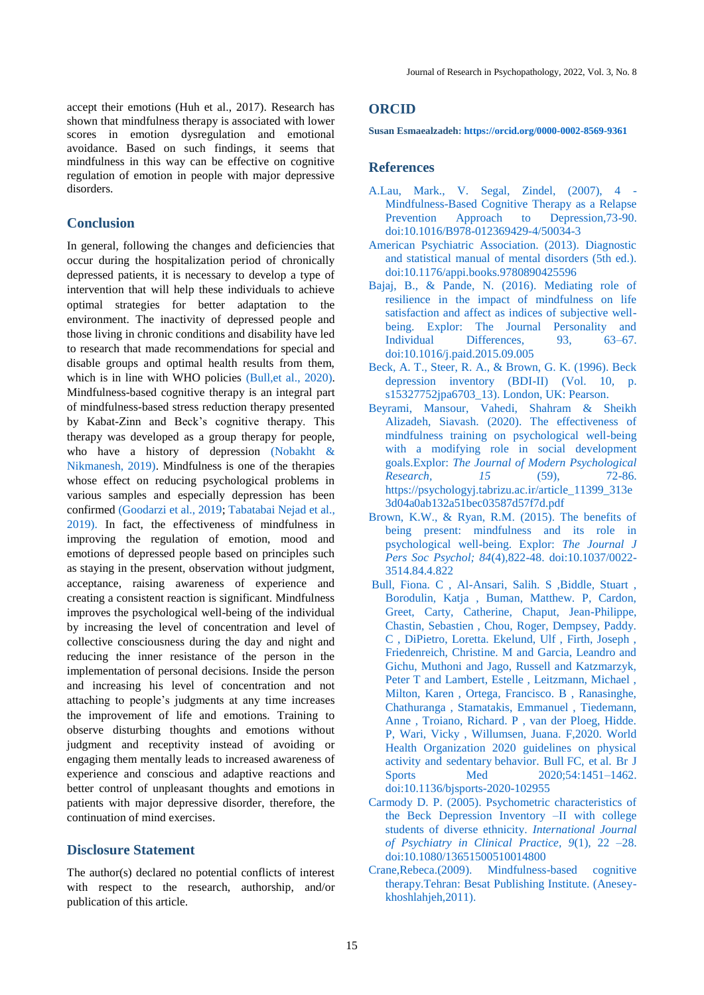accept their emotions (Huh et al., 2017). Research has shown that mindfulness therapy is associated with lower scores in emotion dysregulation and emotional avoidance. Based on such findings, it seems that mindfulness in this way can be effective on cognitive regulation of emotion in people with major depressive disorders.

#### **Conclusion**

In general, following the changes and deficiencies that occur during the hospitalization period of chronically depressed patients, it is necessary to develop a type of intervention that will help these individuals to achieve optimal strategies for better adaptation to the environment. The inactivity of depressed people and those living in chronic conditions and disability have led to research that made recommendations for special and disable groups and optimal health results from them, which is in line with WHO policies (Bull, et al., 2020). Mindfulness-based cognitive therapy is an integral part of mindfulness-based stress reduction therapy presented by Kabat-Zinn and Beck's cognitive therapy. This therapy was developed as a group therapy for people, who have a history of depression [\(Nobakht &](#page-8-18)  [Nikmanesh, 2019\).](#page-8-18) Mindfulness is one of the therapies whose effect on reducing psychological problems in various samples and especially depression has been confirmed [\(Goodarzi et al., 2019;](#page-7-18) [Tabatabai Nejad et al.,](#page-9-8)  [2019\).](#page-9-8) In fact, the effectiveness of mindfulness in improving the regulation of emotion, mood and emotions of depressed people based on principles such as staying in the present, observation without judgment, acceptance, raising awareness of experience and creating a consistent reaction is significant. Mindfulness improves the psychological well-being of the individual by increasing the level of concentration and level of collective consciousness during the day and night and reducing the inner resistance of the person in the implementation of personal decisions. Inside the person and increasing his level of concentration and not attaching to people's judgments at any time increases the improvement of life and emotions. Training to observe disturbing thoughts and emotions without judgment and receptivity instead of avoiding or engaging them mentally leads to increased awareness of experience and conscious and adaptive reactions and better control of unpleasant thoughts and emotions in patients with major depressive disorder, therefore, the continuation of mind exercises.

### **Disclosure Statement**

The author(s) declared no potential conflicts of interest with respect to the research, authorship, and/or publication of this article.

#### **ORCID**

**Susan Esmaealzadeh: <https://orcid.org/0000-0002-8569-9361>**

#### **References**

- <span id="page-6-4"></span>[A.Lau, Mark., V. Segal, Zindel, \(2007\), 4 -](file:///C:/Users/Rayansvc/AppData/Roaming/Microsoft/Word/A.Lau,%20Mark.,%20V.%20Segal,%20Zindel,%20(2007),%204%20-%20Mindfulness-Based%20Cognitive%20Therapy%20as%20a%20Relapse%20Prevention%20Approach%20to%20Depression,73-90) [Mindfulness-Based Cognitive Therapy](file:///C:/Users/Rayansvc/AppData/Roaming/Microsoft/Word/A.Lau,%20Mark.,%20V.%20Segal,%20Zindel,%20(2007),%204%20-%20Mindfulness-Based%20Cognitive%20Therapy%20as%20a%20Relapse%20Prevention%20Approach%20to%20Depression,73-90) as a Relapse [Prevention Approach to Depression,73-90.](file:///C:/Users/Rayansvc/AppData/Roaming/Microsoft/Word/A.Lau,%20Mark.,%20V.%20Segal,%20Zindel,%20(2007),%204%20-%20Mindfulness-Based%20Cognitive%20Therapy%20as%20a%20Relapse%20Prevention%20Approach%20to%20Depression,73-90) [doi:10.1016/B978-012369429-4/50034-3](https://doi.org/10.1016/B978-012369429-4/50034-3)
- [American Psychiatric Association. \(2013\). Diagnostic](#page-0-0)  [and statistical manual of mental disorders \(5th ed.\).](#page-0-0) [doi:10.1176/appi.books.9780890425596](https://doi.org/10.1176/appi.books.9780890425596)
- <span id="page-6-0"></span>[Bajaj, B., & Pande, N. \(2016\). Mediating role of](#page-2-0)  [resilience in the impact of mindfulness on life](#page-2-0) [satisfaction and affect as indices of subjective well](#page-2-0)[being. Explor: The Journal Personality and](#page-2-0)  Individual Differences, 93, 63–67. [doi:10.1016/j.paid.2015.09.005](#page-2-0)
- <span id="page-6-6"></span><span id="page-6-1"></span>[Beck, A. T., Steer, R. A., & Brown, G. K. \(1996\). Beck](#page-2-0)  [depression inventory \(BDI-II\) \(Vol. 10, p.](#page-2-0)  [s15327752jpa6703\\_13\). London, UK: Pearson.](#page-2-0)
- <span id="page-6-8"></span>[Beyrami, Mansour, Vahedi, Shahram & Sheikh](#page-5-0)  [Alizadeh, Siavash. \(2020\). The effectiveness of](#page-5-0)  [mindfulness training on psychological well-being](#page-5-0)  [with a modifying role in social development](#page-5-0)  goals.Explor: *[The Journal of Modern Psychological](#page-5-0)  [Research, 15](#page-5-0)* (59), 72-86. [https://psychologyj.tabrizu.ac.ir/article\\_11399\\_313e](https://psychologyj.tabrizu.ac.ir/article_11399_313e3d04a0ab132a51bec03587d57f7d.pdf) [3d04a0ab132a51bec03587d57f7d.pdf](https://psychologyj.tabrizu.ac.ir/article_11399_313e3d04a0ab132a51bec03587d57f7d.pdf)
- <span id="page-6-9"></span><span id="page-6-7"></span><span id="page-6-5"></span>[Brown, K.W., & Ryan, R.M. \(2015\). The benefits of](file:///C:/Users/Rayansvc/AppData/Roaming/Microsoft/Word/Brown,%20K.W.,%20&%20Ryan,%20R.M.%20(2015).%20The%20benefits%20of%20being%20present:%20mindfulness%20and%20its%20role%20in%20psychological%20well-being.%20Explor:The%20Journal%20J%20Pers%20Soc%20Psychol;%2084(4),822-48.%20https:/doi.org/10.1037/0022-3514.84.4.822)  [being present: mindfulness and its role in](file:///C:/Users/Rayansvc/AppData/Roaming/Microsoft/Word/Brown,%20K.W.,%20&%20Ryan,%20R.M.%20(2015).%20The%20benefits%20of%20being%20present:%20mindfulness%20and%20its%20role%20in%20psychological%20well-being.%20Explor:The%20Journal%20J%20Pers%20Soc%20Psychol;%2084(4),822-48.%20https:/doi.org/10.1037/0022-3514.84.4.822)  [psychological well-being. Explor:](file:///C:/Users/Rayansvc/AppData/Roaming/Microsoft/Word/Brown,%20K.W.,%20&%20Ryan,%20R.M.%20(2015).%20The%20benefits%20of%20being%20present:%20mindfulness%20and%20its%20role%20in%20psychological%20well-being.%20Explor:The%20Journal%20J%20Pers%20Soc%20Psychol;%2084(4),822-48.%20https:/doi.org/10.1037/0022-3514.84.4.822) *The Journal J [Pers Soc Psychol; 84](file:///C:/Users/Rayansvc/AppData/Roaming/Microsoft/Word/Brown,%20K.W.,%20&%20Ryan,%20R.M.%20(2015).%20The%20benefits%20of%20being%20present:%20mindfulness%20and%20its%20role%20in%20psychological%20well-being.%20Explor:The%20Journal%20J%20Pers%20Soc%20Psychol;%2084(4),822-48.%20https:/doi.org/10.1037/0022-3514.84.4.822)*(4),822-48. doi:10.1037/0022- [3514.84.4.822](file:///C:/Users/Rayansvc/AppData/Roaming/Microsoft/Word/Brown,%20K.W.,%20&%20Ryan,%20R.M.%20(2015).%20The%20benefits%20of%20being%20present:%20mindfulness%20and%20its%20role%20in%20psychological%20well-being.%20Explor:The%20Journal%20J%20Pers%20Soc%20Psychol;%2084(4),822-48.%20https:/doi.org/10.1037/0022-3514.84.4.822)
- <span id="page-6-2"></span>[Bull, Fiona. C , Al-Ansari, Salih. S ,Biddle, Stuart ,](#page-6-6)  [Borodulin, Katja , Buman, Matthew. P, Cardon,](#page-6-6)  [Greet, Carty, Catherine, Chaput, Jean-Philippe,](#page-6-6)  [Chastin, Sebastien , Chou, Roger, Dempsey, Paddy.](#page-6-6)  [C , DiPietro, Loretta. Ekelund, Ulf , Firth, Joseph ,](#page-6-6)  [Friedenreich, Christine. M and Garcia, Leandro and](#page-6-6)  [Gichu, Muthoni and Jago, Russell and Katzmarzyk,](#page-6-6)  [Peter T and Lambert, Estelle , Leitzmann, Michael ,](#page-6-6)  [Milton, Karen , Ortega, Francisco. B , Ranasinghe,](#page-6-6)  [Chathuranga , Stamatakis,](#page-6-6) Emmanuel , Tiedemann, [Anne , Troiano, Richard. P , van der Ploeg, Hidde.](#page-6-6)  [P, Wari, Vicky , Willumsen, Juana. F,2020. World](#page-6-6)  [Health Organization 2020 guidelines on physical](#page-6-6)  [activity and sedentary](#page-6-6) behavior. Bull FC, et al. Br J Sports Med  $2020;54:1451-1462$ . <doi:10.1136/bjsports-2020-102955>
- [Carmody D. P. \(2005\). Psychometric characteristics of](file:///C:/Users/AliSalmaniPsychology/OneDrive/دسکتاپ/مقاله%20های%20اساتید/مقالات%20مجله%20آسیب%20شناسی%20روانی/issue%208-3/Issue%208/Carmody%20D.%20P.%20(2005).%20Psychometric%20characteristics%20of%20the%20Beck%20Depression%20Inventory%20–II%20with%20college%20students%20of%20diverse%20ethnicity.%20International%20Journal%20of%20Psychiatry%20in%20Clinical%20Practice,%209(1),%2022%20–28.)  [the Beck Depression Inventory –II with college](file:///C:/Users/AliSalmaniPsychology/OneDrive/دسکتاپ/مقاله%20های%20اساتید/مقالات%20مجله%20آسیب%20شناسی%20روانی/issue%208-3/Issue%208/Carmody%20D.%20P.%20(2005).%20Psychometric%20characteristics%20of%20the%20Beck%20Depression%20Inventory%20–II%20with%20college%20students%20of%20diverse%20ethnicity.%20International%20Journal%20of%20Psychiatry%20in%20Clinical%20Practice,%209(1),%2022%20–28.)  [students of diverse ethnicity.](file:///C:/Users/AliSalmaniPsychology/OneDrive/دسکتاپ/مقاله%20های%20اساتید/مقالات%20مجله%20آسیب%20شناسی%20روانی/issue%208-3/Issue%208/Carmody%20D.%20P.%20(2005).%20Psychometric%20characteristics%20of%20the%20Beck%20Depression%20Inventory%20–II%20with%20college%20students%20of%20diverse%20ethnicity.%20International%20Journal%20of%20Psychiatry%20in%20Clinical%20Practice,%209(1),%2022%20–28.) *International Journal [of Psychiatry in Clinical](file:///C:/Users/AliSalmaniPsychology/OneDrive/دسکتاپ/مقاله%20های%20اساتید/مقالات%20مجله%20آسیب%20شناسی%20روانی/issue%208-3/Issue%208/Carmody%20D.%20P.%20(2005).%20Psychometric%20characteristics%20of%20the%20Beck%20Depression%20Inventory%20–II%20with%20college%20students%20of%20diverse%20ethnicity.%20International%20Journal%20of%20Psychiatry%20in%20Clinical%20Practice,%209(1),%2022%20–28.) Practice, 9*(1), 22 –28. [doi:10.1080/13651500510014800](https://doi.org/10.1080/13651500510014800)
- <span id="page-6-3"></span>Crane,Rebeca.(2009). Mindfulness-based cognitive therapy.Tehran: Besat Publishing Institute. (Aneseykhoshlahjeh,2011).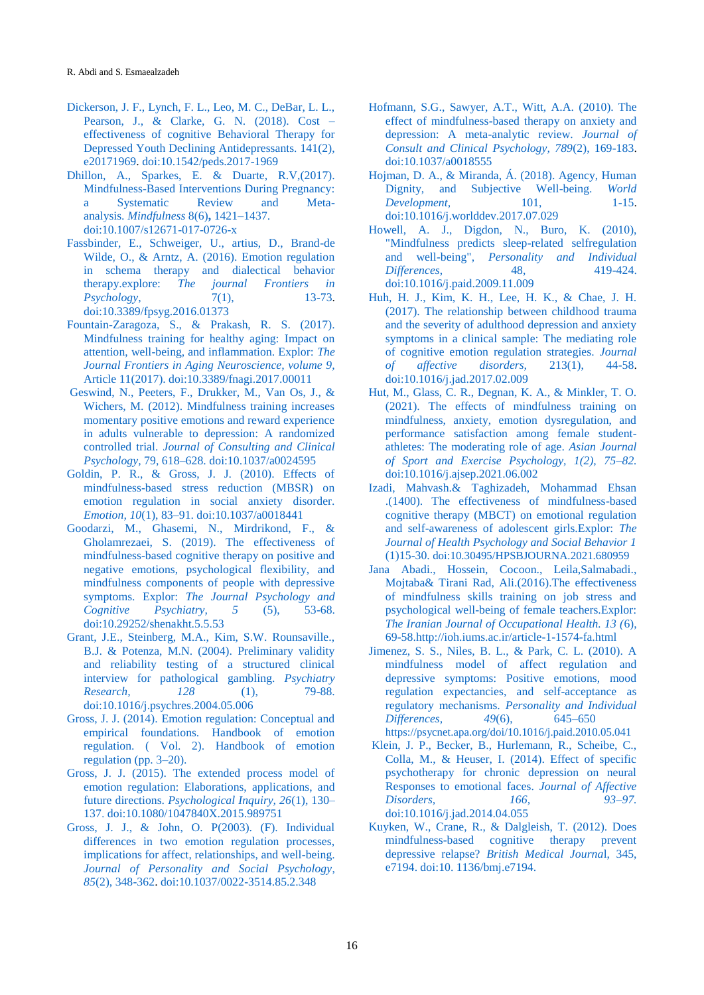- <span id="page-7-0"></span>[Dickerson, J. F., Lynch, F. L., Leo, M. C., DeBar, L. L.,](file:///C:/Users/Rayansvc/Downloads/Telegram%20Desktop/Dickerson,%20J.%20F.,%20Lynch,%20F.%20L.,%20Leo,%20M.%20C.,%20DeBar,%20L.%20L.,%20Pearson,%20J.,%20&%20Clarke,%20G.%20N.%20(2018).%20Cost%20–effectiveness%20of%20cognitive%20Behavioral%20Therapy%20for%20Depressed%20Youth%20Declining%20Antidepressants.%20141(2),%20e20171969)  [Pearson, J., & Clarke, G. N. \(2018\). Cost –](file:///C:/Users/Rayansvc/Downloads/Telegram%20Desktop/Dickerson,%20J.%20F.,%20Lynch,%20F.%20L.,%20Leo,%20M.%20C.,%20DeBar,%20L.%20L.,%20Pearson,%20J.,%20&%20Clarke,%20G.%20N.%20(2018).%20Cost%20–effectiveness%20of%20cognitive%20Behavioral%20Therapy%20for%20Depressed%20Youth%20Declining%20Antidepressants.%20141(2),%20e20171969) [effectiveness of cognitive Behavioral Therapy for](file:///C:/Users/Rayansvc/Downloads/Telegram%20Desktop/Dickerson,%20J.%20F.,%20Lynch,%20F.%20L.,%20Leo,%20M.%20C.,%20DeBar,%20L.%20L.,%20Pearson,%20J.,%20&%20Clarke,%20G.%20N.%20(2018).%20Cost%20–effectiveness%20of%20cognitive%20Behavioral%20Therapy%20for%20Depressed%20Youth%20Declining%20Antidepressants.%20141(2),%20e20171969)  [Depressed Youth Declining Antidepressants. 141\(2\),](file:///C:/Users/Rayansvc/Downloads/Telegram%20Desktop/Dickerson,%20J.%20F.,%20Lynch,%20F.%20L.,%20Leo,%20M.%20C.,%20DeBar,%20L.%20L.,%20Pearson,%20J.,%20&%20Clarke,%20G.%20N.%20(2018).%20Cost%20–effectiveness%20of%20cognitive%20Behavioral%20Therapy%20for%20Depressed%20Youth%20Declining%20Antidepressants.%20141(2),%20e20171969)  [e20171969.](file:///C:/Users/Rayansvc/Downloads/Telegram%20Desktop/Dickerson,%20J.%20F.,%20Lynch,%20F.%20L.,%20Leo,%20M.%20C.,%20DeBar,%20L.%20L.,%20Pearson,%20J.,%20&%20Clarke,%20G.%20N.%20(2018).%20Cost%20–effectiveness%20of%20cognitive%20Behavioral%20Therapy%20for%20Depressed%20Youth%20Declining%20Antidepressants.%20141(2),%20e20171969) [doi:10.1542/peds.2017-1969](https://doi.org/10.1542/peds.2017-1969)
- <span id="page-7-12"></span>[Dhillon, A., Sparkes, E. & Duarte, R.V,\(2017\).](#page-1-0)  [Mindfulness-Based Interventions During Pregnancy:](#page-1-0)  [a Systematic Review and Meta](#page-1-0)analysis. *[Mindfulness](#page-1-0)* 8(6)**,** 1421–1437. [doi:10.1007/s12671-017-0726-x](https://doi.org/10.1007/s12671-017-0726-x)
- <span id="page-7-7"></span>[Fassbinder, E., Schweiger, U., artius, D., Brand-de](file:///C:/Users/AliSalmaniPsychology/OneDrive/دسکتاپ/مقاله%20های%20اساتید/مقالات%20مجله%20آسیب%20شناسی%20روانی/issue%208-3/Issue%208/Fassbinder,%20E.,%20Schweiger,%20U.,%20artius,%20D.,%20Brand-de%20Wilde,%20O.,%20&%20Arntz,%20A.%20(2016).%20Emotion%20regulation%20in%20schema%20therapy%20and%20dialectical%20behavior%20therapy.explore:%20The%20journal%20Frontiers%20in%20Psychology,%207(1),%2013-73)  [Wilde, O., & Arntz, A. \(2016\). Emotion regulation](file:///C:/Users/AliSalmaniPsychology/OneDrive/دسکتاپ/مقاله%20های%20اساتید/مقالات%20مجله%20آسیب%20شناسی%20روانی/issue%208-3/Issue%208/Fassbinder,%20E.,%20Schweiger,%20U.,%20artius,%20D.,%20Brand-de%20Wilde,%20O.,%20&%20Arntz,%20A.%20(2016).%20Emotion%20regulation%20in%20schema%20therapy%20and%20dialectical%20behavior%20therapy.explore:%20The%20journal%20Frontiers%20in%20Psychology,%207(1),%2013-73)  [in schema therapy and dialectical behavior](file:///C:/Users/AliSalmaniPsychology/OneDrive/دسکتاپ/مقاله%20های%20اساتید/مقالات%20مجله%20آسیب%20شناسی%20روانی/issue%208-3/Issue%208/Fassbinder,%20E.,%20Schweiger,%20U.,%20artius,%20D.,%20Brand-de%20Wilde,%20O.,%20&%20Arntz,%20A.%20(2016).%20Emotion%20regulation%20in%20schema%20therapy%20and%20dialectical%20behavior%20therapy.explore:%20The%20journal%20Frontiers%20in%20Psychology,%207(1),%2013-73)  therapy.explore: *[The journal Frontiers in](file:///C:/Users/AliSalmaniPsychology/OneDrive/دسکتاپ/مقاله%20های%20اساتید/مقالات%20مجله%20آسیب%20شناسی%20روانی/issue%208-3/Issue%208/Fassbinder,%20E.,%20Schweiger,%20U.,%20artius,%20D.,%20Brand-de%20Wilde,%20O.,%20&%20Arntz,%20A.%20(2016).%20Emotion%20regulation%20in%20schema%20therapy%20and%20dialectical%20behavior%20therapy.explore:%20The%20journal%20Frontiers%20in%20Psychology,%207(1),%2013-73)  Psychology*,  $7(1)$ , [doi:10.3389/fpsyg.2016.01373](https://doi.org/10.3389/fpsyg.2016.01373)
- <span id="page-7-17"></span>[Fountain-Zaragoza, S., & Prakash, R. S. \(2017\).](#page-5-1)  [Mindfulness training for healthy aging: Impact on](#page-5-1)  [attention, well-being, and inflammation. Explor:](#page-5-1) *The Journal [Frontiers in Aging Neuroscience, volume 9,](#page-5-1)* [Article 11\(2017\). doi:10.3389/fnagi.2017.00011](#page-5-1)
- <span id="page-7-3"></span>Geswind, N., Peeters, [F., Drukker, M., Van Os, J., &](file:///C:/Users/Rayansvc/AppData/Roaming/Microsoft/Word/Geswind,%20N.,%20Peeters,%20F.,%20Drukker,%20M.,%20Van%20Os,%20J.,%20&%20Wichers,%20M.%20(2012).%20Mindfulness%20training%20increases%20momentary%20positive%20emotions%20and%20reward%20experience%20in%20adults%20vulnerable%20to%20depression:%20A%20randomized%20controlled%20trial.%20Journal%20of%20Consulting%20and%20Clinical%20Psychology,%2079,%20618–628.%20https:/doi.org/10.1037/a0024595)  [Wichers, M. \(2012\). Mindfulness training increases](file:///C:/Users/Rayansvc/AppData/Roaming/Microsoft/Word/Geswind,%20N.,%20Peeters,%20F.,%20Drukker,%20M.,%20Van%20Os,%20J.,%20&%20Wichers,%20M.%20(2012).%20Mindfulness%20training%20increases%20momentary%20positive%20emotions%20and%20reward%20experience%20in%20adults%20vulnerable%20to%20depression:%20A%20randomized%20controlled%20trial.%20Journal%20of%20Consulting%20and%20Clinical%20Psychology,%2079,%20618–628.%20https:/doi.org/10.1037/a0024595)  [momentary positive emotions and reward experience](file:///C:/Users/Rayansvc/AppData/Roaming/Microsoft/Word/Geswind,%20N.,%20Peeters,%20F.,%20Drukker,%20M.,%20Van%20Os,%20J.,%20&%20Wichers,%20M.%20(2012).%20Mindfulness%20training%20increases%20momentary%20positive%20emotions%20and%20reward%20experience%20in%20adults%20vulnerable%20to%20depression:%20A%20randomized%20controlled%20trial.%20Journal%20of%20Consulting%20and%20Clinical%20Psychology,%2079,%20618–628.%20https:/doi.org/10.1037/a0024595)  [in adults vulnerable to depression: A randomized](file:///C:/Users/Rayansvc/AppData/Roaming/Microsoft/Word/Geswind,%20N.,%20Peeters,%20F.,%20Drukker,%20M.,%20Van%20Os,%20J.,%20&%20Wichers,%20M.%20(2012).%20Mindfulness%20training%20increases%20momentary%20positive%20emotions%20and%20reward%20experience%20in%20adults%20vulnerable%20to%20depression:%20A%20randomized%20controlled%20trial.%20Journal%20of%20Consulting%20and%20Clinical%20Psychology,%2079,%20618–628.%20https:/doi.org/10.1037/a0024595)  controlled trial. *[Journal of Consulting and Clinical](file:///C:/Users/Rayansvc/AppData/Roaming/Microsoft/Word/Geswind,%20N.,%20Peeters,%20F.,%20Drukker,%20M.,%20Van%20Os,%20J.,%20&%20Wichers,%20M.%20(2012).%20Mindfulness%20training%20increases%20momentary%20positive%20emotions%20and%20reward%20experience%20in%20adults%20vulnerable%20to%20depression:%20A%20randomized%20controlled%20trial.%20Journal%20of%20Consulting%20and%20Clinical%20Psychology,%2079,%20618–628.%20https:/doi.org/10.1037/a0024595)  Psychology,* 79, 618–628. [doi:10.1037/a0024595](file:///C:/Users/Rayansvc/AppData/Roaming/Microsoft/Word/Geswind,%20N.,%20Peeters,%20F.,%20Drukker,%20M.,%20Van%20Os,%20J.,%20&%20Wichers,%20M.%20(2012).%20Mindfulness%20training%20increases%20momentary%20positive%20emotions%20and%20reward%20experience%20in%20adults%20vulnerable%20to%20depression:%20A%20randomized%20controlled%20trial.%20Journal%20of%20Consulting%20and%20Clinical%20Psychology,%2079,%20618–628.%20https:/doi.org/10.1037/a0024595)
- <span id="page-7-8"></span>[Goldin, P. R., & Gross, J. J. \(2010\). Effects of](#page-1-1)  [mindfulness-based stress reduction \(MBSR\) on](#page-1-1)  [emotion regulation in social anxiety disorder.](#page-1-1)  *Emotion, 10*[\(1\), 83–91. doi:10.1037/a0018441](#page-1-1)
- <span id="page-7-18"></span>[Goodarzi, M., Ghasemi, N., Mirdrikond, F., &](#page-6-7)  [Gholamrezaei, S. \(2019\). The effectiveness of](#page-6-7)  [mindfulness-based cognitive therapy on positive and](#page-6-7)  [negative emotions, psychological flexibility, and](#page-6-7)  [mindfulness components of people with depressive](#page-6-7) symptoms. Explor: *The [Journal Psychology and](#page-6-7)  [Cognitive Psychiatry, 5](#page-6-7)* (5), 53-68. [doi:10.29252/shenakht.5.5.53](http://dx.doi.org/10.29252/shenakht.5.5.53)
- <span id="page-7-15"></span>[Grant, J.E., Steinberg, M.A., Kim, S.W. Rounsaville.,](#page-2-1)  [B.J. & Potenza, M.N. \(2004\). Preliminary validity](#page-2-1)  [and reliability testing of a structured clinical](#page-2-1)  [interview for pathological gambling.](#page-2-1) *Psychiatry [Research, 128](#page-2-1)* (1), 79-88. [doi:10.1016/j.psychres.2004.05.006](#page-2-1)
- <span id="page-7-5"></span>Gross, J. J. (2014). [Emotion regulation: Conceptual and](#page-1-2)  [empirical foundations. Handbook of emotion](#page-1-2)  [regulation. \( Vol. 2\). Handbook of emotion](#page-1-2)  [regulation \(pp. 3–20\).](#page-1-2)
- <span id="page-7-6"></span>[Gross, J. J. \(2015\). The extended process model of](file:///C:/Users/Rayansvc/AppData/Roaming/Microsoft/Word/Gross,%20J.%20J.%20(2015).%20The%20extended%20process%20model%20of%20emotion%20regulation:%20Elaborations,%20applications,%20and%20future%20directions.%20Psychological%20Inquiry,%2026(1),%20130–137.%20%0bhttps:/doi.org/10.1080/1047840X.2015.989751)  [emotion regulation: Elaborations, applications, and](file:///C:/Users/Rayansvc/AppData/Roaming/Microsoft/Word/Gross,%20J.%20J.%20(2015).%20The%20extended%20process%20model%20of%20emotion%20regulation:%20Elaborations,%20applications,%20and%20future%20directions.%20Psychological%20Inquiry,%2026(1),%20130–137.%20%0bhttps:/doi.org/10.1080/1047840X.2015.989751)  future directions. *[Psychological Inquiry, 26](file:///C:/Users/Rayansvc/AppData/Roaming/Microsoft/Word/Gross,%20J.%20J.%20(2015).%20The%20extended%20process%20model%20of%20emotion%20regulation:%20Elaborations,%20applications,%20and%20future%20directions.%20Psychological%20Inquiry,%2026(1),%20130–137.%20%0bhttps:/doi.org/10.1080/1047840X.2015.989751)*(1), 130– 137. [doi:10.1080/1047840X.2015.989751](file:///C:/Users/Rayansvc/AppData/Roaming/Microsoft/Word/Gross,%20J.%20J.%20(2015).%20The%20extended%20process%20model%20of%20emotion%20regulation:%20Elaborations,%20applications,%20and%20future%20directions.%20Psychological%20Inquiry,%2026(1),%20130–137.%20%0bhttps:/doi.org/10.1080/1047840X.2015.989751)
- <span id="page-7-4"></span>[Gross, J. J., & John, O. P\(2003\). \(F\). Individual](#page-1-3)  [differences in two emotion regulation processes,](#page-1-3)  [implications for affect, relationships, and well-being.](#page-1-3)  *[Journal of Personality and Social Psychology](#page-1-3)*, *85*[\(2\), 348-362.](#page-1-3) [doi:10.1037/0022-3514.85.2.348](https://doi.org/10.1037/0022-3514.85.2.348)
- [Hofmann, S.G., Sawyer, A.T., Witt, A.A. \(2010\). The](#page-1-4)  [effect of mindfulness-based therapy on anxiety and](#page-1-4)  [depression: A meta-analytic review.](#page-1-4) *Journal of [Consult and Clinical Psychology, 789](#page-1-4)*(2), 169-183. [doi:10.1037/a0018555](https://doi.org/10.1037/a0018555)
- <span id="page-7-10"></span>[Hojman, D. A., & Miranda, Á. \(2018\). Agency, Human](#page-1-5)  [Dignity, and Subjective Well-being.](#page-1-5) *World Development.* [101, 1-15.](#page-1-5) [doi:10.1016/j.worlddev.2017.07.029](https://doi.org/10.1016/j.worlddev.2017.07.029)
- <span id="page-7-11"></span>[Howell, A. J., Digdon, N., Buro, K. \(2010\),](#page-1-6)  ["Mindfulness predicts sleep-related selfregulation](#page-1-6)  and well-being", *[Personality and Individual](#page-1-6)  Differences*[, 48, 419-424.](#page-1-6) [doi:10.1016/j.paid.2009.11.009](https://doi.org/10.1016/j.paid.2009.11.009)
- [Huh, H. J., Kim, K. H., Lee, H. K., & Chae, J. H.](file:///C:/Users/AliSalmaniPsychology/OneDrive/دسکتاپ/مقاله%20های%20اساتید/مقالات%20مجله%20آسیب%20شناسی%20روانی/issue%208-3/Issue%208/Huh,%20H.%20J.,%20Kim,%20K.%20H.,%20Lee,%20H.%20K.,%20&%20Chae,%20J.%20H.%20(2017).%20The%20relationship%20between%20childhood%20trauma%20and%20the%20severity%20of%20adulthood%20depression%20and%20anxiety%20symptoms%20in%20a%20clinical%20sample:%20The%20mediating%20role%20of%20cognitive%20emotion%20regulation%20strategies.%20Journal%20of%20affective%20disorders,%20213(1),%2044-58)  [\(2017\). The relationship between childhood trauma](file:///C:/Users/AliSalmaniPsychology/OneDrive/دسکتاپ/مقاله%20های%20اساتید/مقالات%20مجله%20آسیب%20شناسی%20روانی/issue%208-3/Issue%208/Huh,%20H.%20J.,%20Kim,%20K.%20H.,%20Lee,%20H.%20K.,%20&%20Chae,%20J.%20H.%20(2017).%20The%20relationship%20between%20childhood%20trauma%20and%20the%20severity%20of%20adulthood%20depression%20and%20anxiety%20symptoms%20in%20a%20clinical%20sample:%20The%20mediating%20role%20of%20cognitive%20emotion%20regulation%20strategies.%20Journal%20of%20affective%20disorders,%20213(1),%2044-58)  [and the severity of adulthood depression and anxiety](file:///C:/Users/AliSalmaniPsychology/OneDrive/دسکتاپ/مقاله%20های%20اساتید/مقالات%20مجله%20آسیب%20شناسی%20روانی/issue%208-3/Issue%208/Huh,%20H.%20J.,%20Kim,%20K.%20H.,%20Lee,%20H.%20K.,%20&%20Chae,%20J.%20H.%20(2017).%20The%20relationship%20between%20childhood%20trauma%20and%20the%20severity%20of%20adulthood%20depression%20and%20anxiety%20symptoms%20in%20a%20clinical%20sample:%20The%20mediating%20role%20of%20cognitive%20emotion%20regulation%20strategies.%20Journal%20of%20affective%20disorders,%20213(1),%2044-58)  [symptoms in a clinical sample: The mediating role](file:///C:/Users/AliSalmaniPsychology/OneDrive/دسکتاپ/مقاله%20های%20اساتید/مقالات%20مجله%20آسیب%20شناسی%20روانی/issue%208-3/Issue%208/Huh,%20H.%20J.,%20Kim,%20K.%20H.,%20Lee,%20H.%20K.,%20&%20Chae,%20J.%20H.%20(2017).%20The%20relationship%20between%20childhood%20trauma%20and%20the%20severity%20of%20adulthood%20depression%20and%20anxiety%20symptoms%20in%20a%20clinical%20sample:%20The%20mediating%20role%20of%20cognitive%20emotion%20regulation%20strategies.%20Journal%20of%20affective%20disorders,%20213(1),%2044-58)  [of cognitive emotion regulation strategies.](file:///C:/Users/AliSalmaniPsychology/OneDrive/دسکتاپ/مقاله%20های%20اساتید/مقالات%20مجله%20آسیب%20شناسی%20روانی/issue%208-3/Issue%208/Huh,%20H.%20J.,%20Kim,%20K.%20H.,%20Lee,%20H.%20K.,%20&%20Chae,%20J.%20H.%20(2017).%20The%20relationship%20between%20childhood%20trauma%20and%20the%20severity%20of%20adulthood%20depression%20and%20anxiety%20symptoms%20in%20a%20clinical%20sample:%20The%20mediating%20role%20of%20cognitive%20emotion%20regulation%20strategies.%20Journal%20of%20affective%20disorders,%20213(1),%2044-58) *Journal [of affective disorders,](file:///C:/Users/AliSalmaniPsychology/OneDrive/دسکتاپ/مقاله%20های%20اساتید/مقالات%20مجله%20آسیب%20شناسی%20روانی/issue%208-3/Issue%208/Huh,%20H.%20J.,%20Kim,%20K.%20H.,%20Lee,%20H.%20K.,%20&%20Chae,%20J.%20H.%20(2017).%20The%20relationship%20between%20childhood%20trauma%20and%20the%20severity%20of%20adulthood%20depression%20and%20anxiety%20symptoms%20in%20a%20clinical%20sample:%20The%20mediating%20role%20of%20cognitive%20emotion%20regulation%20strategies.%20Journal%20of%20affective%20disorders,%20213(1),%2044-58)* 213(1), 44-58. [doi:10.1016/j.jad.2017.02.009](https://doi.org/10.1016/j.jad.2017.02.009.)
- <span id="page-7-9"></span>[Hut, M., Glass, C. R., Degnan, K. A., & Minkler, T. O.](#page-1-7)  [\(2021\). The effects of mindfulness training on](#page-1-7)  [mindfulness, anxiety, emotion dysregulation, and](#page-1-7)  [performance satisfaction among female student](#page-1-7)[athletes: The moderating role of age.](#page-1-7) *Asian Journal [of Sport and Exercise Psychology, 1\(2\), 75–82.](#page-1-7)* [doi:10.1016/j.ajsep.2021.06.002](#page-1-7)
- [Izadi, Mahvash.& Taghizadeh, Mohammad Ehsan](#page-5-2)  [.\(1400\). The effectiveness of mindfulness-based](#page-5-2)  [cognitive therapy \(MBCT\) on emotional regulation](#page-5-2)  [and self-awareness of adolescent girls.Explor:](#page-5-2) *The [Journal of Health Psychology and Social Behavior 1](#page-5-2)*  (1)15-30. [doi:10.30495/HPSBJOURNA.2021.680959](#page-5-2)
- <span id="page-7-16"></span>[Jana Abadi., Hossein, Cocoon., Leila,Salmabadi.,](#page-5-3)  [Mojtaba& Tirani Rad, Ali.\(2016\).The effectiveness](#page-5-3)  [of mindfulness skills training on job stress and](#page-5-3)  [psychological well-being of female teachers.Explor:](#page-5-3)  *[The Iranian Journal of Occupational Health. 13 \(](#page-5-3)*6), [69-58.http://ioh.iums.ac.ir/article-1-1574-fa.html](#page-5-3)
- <span id="page-7-14"></span>[Jimenez, S. S., Niles, B. L., & Park, C. L. \(2010\). A](file:///C:/Users/Rayansvc/AppData/Roaming/Microsoft/Word/Jimenez,%20S.%20S.,%20Niles,%20B.%20L.,%20&%20Park,%20C.%20L.%20(2010).%20A%20mindfulness%20model%20of%20affect%20regulation%20and%20depressive%20symptoms:%20Positive%20emotions,%20mood%20regulation%20expectancies,%20and%20self-acceptance%20as%20regulatory%20mechanisms.%20Personality%20and%20Individual%20Differences,%2049(6),%20645–650%20https:/psycnet.apa.org/doi/10.1016/j.paid.2010.05.041)  [mindfulness model of affect regulation and](file:///C:/Users/Rayansvc/AppData/Roaming/Microsoft/Word/Jimenez,%20S.%20S.,%20Niles,%20B.%20L.,%20&%20Park,%20C.%20L.%20(2010).%20A%20mindfulness%20model%20of%20affect%20regulation%20and%20depressive%20symptoms:%20Positive%20emotions,%20mood%20regulation%20expectancies,%20and%20self-acceptance%20as%20regulatory%20mechanisms.%20Personality%20and%20Individual%20Differences,%2049(6),%20645–650%20https:/psycnet.apa.org/doi/10.1016/j.paid.2010.05.041)  [depressive symptoms: Positive emotions, mood](file:///C:/Users/Rayansvc/AppData/Roaming/Microsoft/Word/Jimenez,%20S.%20S.,%20Niles,%20B.%20L.,%20&%20Park,%20C.%20L.%20(2010).%20A%20mindfulness%20model%20of%20affect%20regulation%20and%20depressive%20symptoms:%20Positive%20emotions,%20mood%20regulation%20expectancies,%20and%20self-acceptance%20as%20regulatory%20mechanisms.%20Personality%20and%20Individual%20Differences,%2049(6),%20645–650%20https:/psycnet.apa.org/doi/10.1016/j.paid.2010.05.041)  [regulation expectancies, and self-acceptance as](file:///C:/Users/Rayansvc/AppData/Roaming/Microsoft/Word/Jimenez,%20S.%20S.,%20Niles,%20B.%20L.,%20&%20Park,%20C.%20L.%20(2010).%20A%20mindfulness%20model%20of%20affect%20regulation%20and%20depressive%20symptoms:%20Positive%20emotions,%20mood%20regulation%20expectancies,%20and%20self-acceptance%20as%20regulatory%20mechanisms.%20Personality%20and%20Individual%20Differences,%2049(6),%20645–650%20https:/psycnet.apa.org/doi/10.1016/j.paid.2010.05.041)  regulatory mechanisms. *[Personality and Individual](file:///C:/Users/Rayansvc/AppData/Roaming/Microsoft/Word/Jimenez,%20S.%20S.,%20Niles,%20B.%20L.,%20&%20Park,%20C.%20L.%20(2010).%20A%20mindfulness%20model%20of%20affect%20regulation%20and%20depressive%20symptoms:%20Positive%20emotions,%20mood%20regulation%20expectancies,%20and%20self-acceptance%20as%20regulatory%20mechanisms.%20Personality%20and%20Individual%20Differences,%2049(6),%20645–650%20https:/psycnet.apa.org/doi/10.1016/j.paid.2010.05.041)  [Differences, 49](file:///C:/Users/Rayansvc/AppData/Roaming/Microsoft/Word/Jimenez,%20S.%20S.,%20Niles,%20B.%20L.,%20&%20Park,%20C.%20L.%20(2010).%20A%20mindfulness%20model%20of%20affect%20regulation%20and%20depressive%20symptoms:%20Positive%20emotions,%20mood%20regulation%20expectancies,%20and%20self-acceptance%20as%20regulatory%20mechanisms.%20Personality%20and%20Individual%20Differences,%2049(6),%20645–650%20https:/psycnet.apa.org/doi/10.1016/j.paid.2010.05.041)*(6), 645–650
- [https://psycnet.apa.org/doi/10.1016/j.paid.2010.05.041](file:///C:/Users/Rayansvc/AppData/Roaming/Microsoft/Word/Jimenez,%20S.%20S.,%20Niles,%20B.%20L.,%20&%20Park,%20C.%20L.%20(2010).%20A%20mindfulness%20model%20of%20affect%20regulation%20and%20depressive%20symptoms:%20Positive%20emotions,%20mood%20regulation%20expectancies,%20and%20self-acceptance%20as%20regulatory%20mechanisms.%20Personality%20and%20Individual%20Differences,%2049(6),%20645–650%20https:/psycnet.apa.org/doi/10.1016/j.paid.2010.05.041)
- <span id="page-7-1"></span>[Klein, J. P., Becker, B., Hurlemann, R., Scheibe, C.,](#page-0-1)  [Colla, M., & Heuser, I. \(2014\). Effect of specific](#page-0-1)  [psychotherapy for chronic depression on neural](#page-0-1)  [Responses to emotional faces.](#page-0-1) *Journal of Affective [Disorders, 166, 93–97.](#page-0-1)* [doi:10.1016/j.jad.2014.04.055](#page-0-1)
- <span id="page-7-13"></span><span id="page-7-2"></span>[Kuyken, W., Crane, R., & Dalgleish, T. \(2012\). Does](#page-1-8)  [mindfulness-based cognitive therapy prevent](#page-1-8)  depressive relapse? *[British Medical Journa](#page-1-8)*l, 345, [e7194. doi:10. 1136/bmj.e7194.](#page-1-8)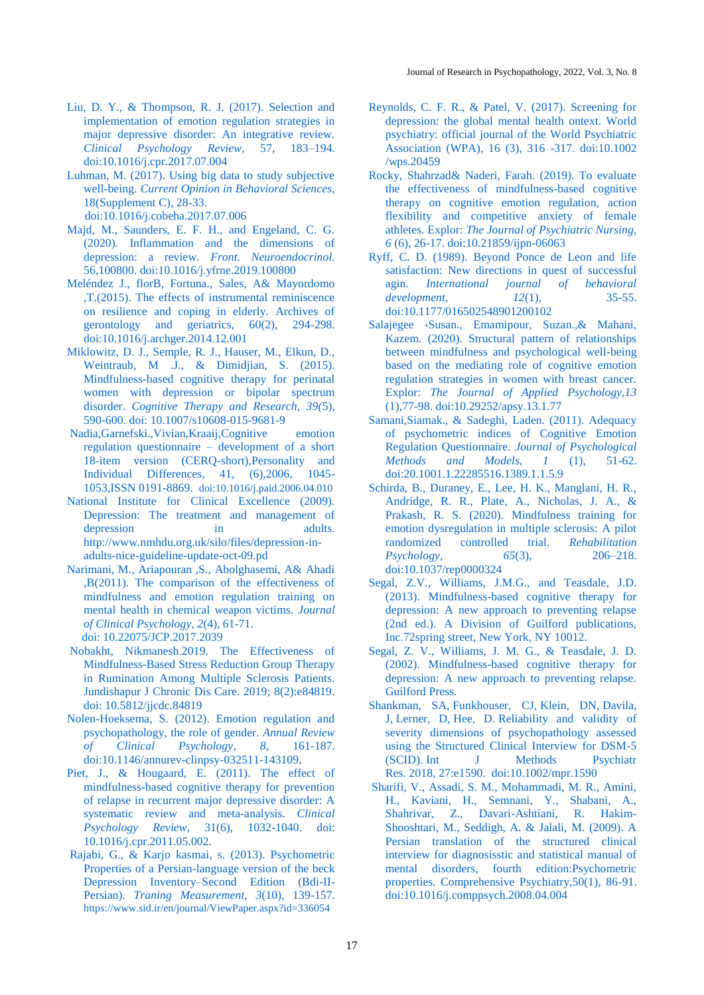- [Liu, D. Y., & Thompson, R. J. \(2017\). Selection and](#page-5-4)  [implementation of emotion regulation strategies in](#page-5-4)  [major depressive disorder: An integrative review.](#page-5-4)  *[Clinical Psychology](#page-5-4) Review*, 57, 183–194. [doi:10.1016/j.cpr.2017.07.004](https://doi.org/10.1016/j.cpr.2017.07.004)
- <span id="page-8-9"></span>[Luhman, M. \(2017\). Using big data to study subjective](#page-1-9)  well-being. *[Current Opinion in Behavioral Sciences,](#page-1-9)*  [18\(Supplement C\), 28-33.](#page-1-9)  [doi:10.1016/j.cobeha.2017.07.006](https://doi.org/10.1016/j.cobeha.2017.07.006)
- <span id="page-8-1"></span>[Majd, M., Saunders, E. F. H., and Engeland, C. G.](#page-0-2)  [\(2020\). Inflammation and the dimensions of](#page-0-2)  depression: a review. *[Front. Neuroendocrinol.](#page-0-2)* [56,100800. doi:10.1016/j.yfrne.2019.100800](#page-0-2)
- <span id="page-8-15"></span>[Meléndez J., florB, Fortuna., Sales, A& Mayordomo](#page-5-5)  [,T.\(2015\). The effects of instrumental reminiscence](#page-5-5)  [on resilience and coping in elderly. Archives of](#page-5-5)  [gerontology and geriatrics, 60\(2\), 294-298.](#page-5-5)  [doi:10.1016/j.archger.2014.12.001](#page-5-5)
- [Miklowitz, D. J., Semple, R. J., Hauser, M., Elkun, D.,](#page-1-10)  [Weintraub, M .J., & Dimidjian, S. \(2015\).](#page-1-10)  [Mindfulness-based cognitive therapy for perinatal](#page-1-10)  [women with depression or bipolar spectrum](#page-1-10)  disorder. *[Cognitive Therapy and Research, 39\(](#page-1-10)*5), [590-600. doi: 10.1007/s10608-015-9681-9](#page-1-10)
- <span id="page-8-12"></span>[Nadia,Garnefski.,Vivian,Kraaij,Cognitive emotion](#page-2-2)  [regulation questionnaire –](#page-2-2) development of a short [18-item version \(CERQ-short\),Personality and](#page-2-2)  [Individual Differences, 41, \(6\),2006, 1045-](#page-2-2) [1053,ISSN 0191-8869.](#page-2-2) [doi:10.1016/j.paid.2006.04.010](https://doi.org/10.1016/j.paid.2006.04.010)
- <span id="page-8-3"></span>[National Institute for Clinical Excellence \(2009\).](National%20Institute%20for%20Clinical%20Excellence%20(2009).%20Depression:%20The%20treatment%20and%20management%20of%20depression%20in%20adults.%20http:/www.nmhdu.org.uk/silo/files/depression-in-adults-nice-guideline-update-oct-09.pd)  [Depression: The treatment and management of](National%20Institute%20for%20Clinical%20Excellence%20(2009).%20Depression:%20The%20treatment%20and%20management%20of%20depression%20in%20adults.%20http:/www.nmhdu.org.uk/silo/files/depression-in-adults-nice-guideline-update-oct-09.pd)  depression in adults. [http://www.nmhdu.org.uk/silo/files/depression-in](National%20Institute%20for%20Clinical%20Excellence%20(2009).%20Depression:%20The%20treatment%20and%20management%20of%20depression%20in%20adults.%20http:/www.nmhdu.org.uk/silo/files/depression-in-adults-nice-guideline-update-oct-09.pd)[adults-nice-guideline-update-oct-09.pd](National%20Institute%20for%20Clinical%20Excellence%20(2009).%20Depression:%20The%20treatment%20and%20management%20of%20depression%20in%20adults.%20http:/www.nmhdu.org.uk/silo/files/depression-in-adults-nice-guideline-update-oct-09.pd)
- <span id="page-8-6"></span>[Narimani, M., Ariapouran ,S., Abolghasemi, A& Ahadi](#page-1-11)  [,B\(2011\). The comparison of the effectiveness of](#page-1-11)  [mindfulness and emotion regulation training on](#page-1-11)  [mental health in chemical weapon victims.](#page-1-11) *Journal [of Clinical Psychology, 2](#page-1-11)*(4), 61-71. doi: 10.22075/JCP.2017.2039
- [Nobakht, Nikmanesh.2019. The Effectiveness of](#page-6-8)  [Mindfulness-Based Stress Reduction Group Therapy](#page-6-8)  [in Rumination Among Multiple Sclerosis Patients.](#page-6-8)  [Jundishapur J Chronic Dis Care. 2019; 8\(2\):e84819](#page-6-8)[.](file:///C:/Users/Rayansvc/AppData/Roaming/Microsoft/Word/.%20doi:%2010.5812/jjcdc.84819)  [doi: 10.5812/jjcdc.84819](file:///C:/Users/Rayansvc/AppData/Roaming/Microsoft/Word/.%20doi:%2010.5812/jjcdc.84819)
- <span id="page-8-5"></span>[Nolen-Hoeksema, S. \(2012\). Emotion regulation and](#page-1-12)  [psychopathology, the role of gender.](#page-1-12) *Annual Review [of Clinical Psychology](#page-1-12)*, *8*, 161-187. [doi:10.1146/annurev-clinpsy-032511-143109.](https://doi.org/10.1146/annurev-clinpsy-032511-143109)
- <span id="page-8-4"></span>[Piet, J., & Hougaard, E. \(2011\). The effect of](#page-1-13)  [mindfulness-based cognitive therapy for prevention](#page-1-13)  [of relapse in recurrent major depressive disorder: A](#page-1-13)  [systematic review and meta-analysis.](#page-1-13) *Clinical Psychology Review*[, 31\(6\), 1032-1040. doi:](#page-1-13)  [10.1016/j.cpr.2011.05.002.](#page-1-13)
- [Rajabi, G., & Karjo kasmai, s. \(2013\). Psychometric](file:///C:/Users/Rayansvc/AppData/Roaming/Microsoft/Word/%20Rajabi,%20G.,%20&%20Karjo%20kasmai,%20s.%20(2013).%20Psychometric%20Properties%20of%20a%20persian-language%20version%20of%20the%20beck%20Depression%20Inventory–Second%20Edition%20(Bdi-II-Persian).%20Traning%20Measurement,%203(10),%20139-157)  [Properties of a Persian-language version of the beck](file:///C:/Users/Rayansvc/AppData/Roaming/Microsoft/Word/%20Rajabi,%20G.,%20&%20Karjo%20kasmai,%20s.%20(2013).%20Psychometric%20Properties%20of%20a%20persian-language%20version%20of%20the%20beck%20Depression%20Inventory–Second%20Edition%20(Bdi-II-Persian).%20Traning%20Measurement,%203(10),%20139-157)  [Depression Inventory–Second Edition \(Bdi-II-](file:///C:/Users/Rayansvc/AppData/Roaming/Microsoft/Word/%20Rajabi,%20G.,%20&%20Karjo%20kasmai,%20s.%20(2013).%20Psychometric%20Properties%20of%20a%20persian-language%20version%20of%20the%20beck%20Depression%20Inventory–Second%20Edition%20(Bdi-II-Persian).%20Traning%20Measurement,%203(10),%20139-157)Persian). *[Traning Measurement, 3](file:///C:/Users/Rayansvc/AppData/Roaming/Microsoft/Word/%20Rajabi,%20G.,%20&%20Karjo%20kasmai,%20s.%20(2013).%20Psychometric%20Properties%20of%20a%20persian-language%20version%20of%20the%20beck%20Depression%20Inventory–Second%20Edition%20(Bdi-II-Persian).%20Traning%20Measurement,%203(10),%20139-157)*(10), 139-157. <https://www.sid.ir/en/journal/ViewPaper.aspx?id=336054>
- <span id="page-8-0"></span>[Reynolds, C. F. R., & Patel, V. \(2017\). Screening for](#page-0-3)  [depression: the global mental health ontext. World](#page-0-3)  [psychiatry: official journal of the World Psychiatric](#page-0-3)  [Association \(WPA\), 16 \(3\), 316 -317. doi:10.1002](#page-0-3)  [/wps.20459](#page-0-3)
- <span id="page-8-17"></span>[Rocky, Shahrzad& Naderi, Farah. \(2019\). To evaluate](#page-5-6)  [the effectiveness of mindfulness-based cognitive](#page-5-6)  [therapy on cognitive emotion regulation, action](#page-5-6)  [flexibility and competitive anxiety of female](#page-5-6)  athletes. Explor: *[The Journal of Psychiatric Nursing,](#page-5-6)  6* [\(6\), 26-17.](#page-5-6) [doi:10.21859/ijpn-06063](#page-5-6)
- <span id="page-8-8"></span>[Ryff, C. D. \(1989\). Beyond Ponce de Leon and life](#page-1-14)  [satisfaction: New directions in quest of successful](#page-1-14)  agin. *[International journal of behavioral](#page-1-14)  [development, 12](#page-1-14)*(1), 35-55. [doi:10.1177/016502548901200102](https://doi.org/10.1177/016502548901200102)
- <span id="page-8-16"></span>[Salajegee ،Susan., Emamipour, Suzan.,& Mahani,](#page-5-7)  [Kazem. \(2020\). Structural pattern of relationships](#page-5-7)  [between mindfulness and psychological well-being](#page-5-7)  [based on the mediating role of cognitive emotion](#page-5-7)  [regulation strategies in women with breast cancer.](#page-5-7)  Explor: *[The Journal of Applied Psychology,13](#page-5-7)* [\(1\),77-98. doi:10.29252/apsy.13.1.77](#page-5-7)
- <span id="page-8-13"></span>[Samani,Siamak., & Sadeghi, Laden. \(2011\). Adequacy](#page-2-3)  [of psychometric indices of Cognitive Emotion](#page-2-3)  [Regulation Questionnaire.](#page-2-3) *Journal of Psychological [Methods and Models, 1](#page-2-3)* (1), 51-62. [doi:20.1001.1.22285516.1389.1.1.5.9](#page-2-3)
- <span id="page-8-7"></span>[Schirda, B., Duraney, E., Lee, H. K., Manglani, H. R.,](#page-1-15)  [Andridge, R. R., Plate, A., Nicholas, J. A., &](#page-1-15)  [Prakash, R. S. \(2020\). Mindfulness training for](#page-1-15)  [emotion dysregulation in multiple sclerosis: A pilot](#page-1-15)  [randomized controlled trial.](#page-1-15) *Rehabilitation [Psychology, 65](#page-1-15)*(3), 206–218. [doi:10.1037/rep0000324](https://doi.org/10.1037/rep0000324)
- <span id="page-8-2"></span>[Segal, Z.V., Williams, J.M.G., and Teasdale, J.D.](#page-3-0)  [\(2013\). Mindfulness-based cognitive therapy for](#page-3-0)  [depression: A new approach to preventing relapse](#page-3-0)  [\(2nd ed.\). A Division of Guilford publications,](#page-3-0)  [Inc.72spring street, New York, NY 10012.](#page-3-0)
- <span id="page-8-18"></span><span id="page-8-14"></span>[Segal, Z. V., Williams, J. M. G., & Teasdale, J. D.](#page-3-0)  [\(2002\). Mindfulness-based cognitive therapy for](#page-3-0)  [depression: A new approach to preventing relapse.](#page-3-0)  [Guilford Press.](#page-3-0)
- <span id="page-8-10"></span>Shankman, SA, [Funkhouser, CJ,](#page-2-4) Klein, DN, Davila, J, Lerner, D, Hee, D. [Reliability and validity of](#page-2-4)  [severity dimensions of psychopathology assessed](#page-2-4)  [using the Structured Clinical Interview for DSM-5](#page-2-4)  (SCID). Int J Methods Psychiatr Res. 2018, [27:e1590.](#page-2-4) [doi:10.1002/mpr.1590](https://doi.org/10.1002/mpr.1590)
- <span id="page-8-11"></span>[Sharifi, V., Assadi, S. M., Mohammadi, M. R., Amini,](#page-2-5)  [H., Kaviani, H., Semnani, Y., Shabani, A.,](#page-2-5)  [Shahrivar, Z., Davari-Ashtiani, R. Hakim-](#page-2-5)[Shooshtari, M., Seddigh, A. & Jalali, M. \(2009\). A](#page-2-5)  [Persian translation of the structured clinical](#page-2-5)  [interview for diagnosisstic and statistical manual of](#page-2-5)  [mental disorders, fourth edition:Psychometric](#page-2-5)  [properties. Comprehensive Psychiatry,50\(1\), 86-91.](#page-2-5)  [doi:10.1016/j.comppsych.2008.04.004](https://doi.org/10.1016/j.comppsych.2008.04.004)